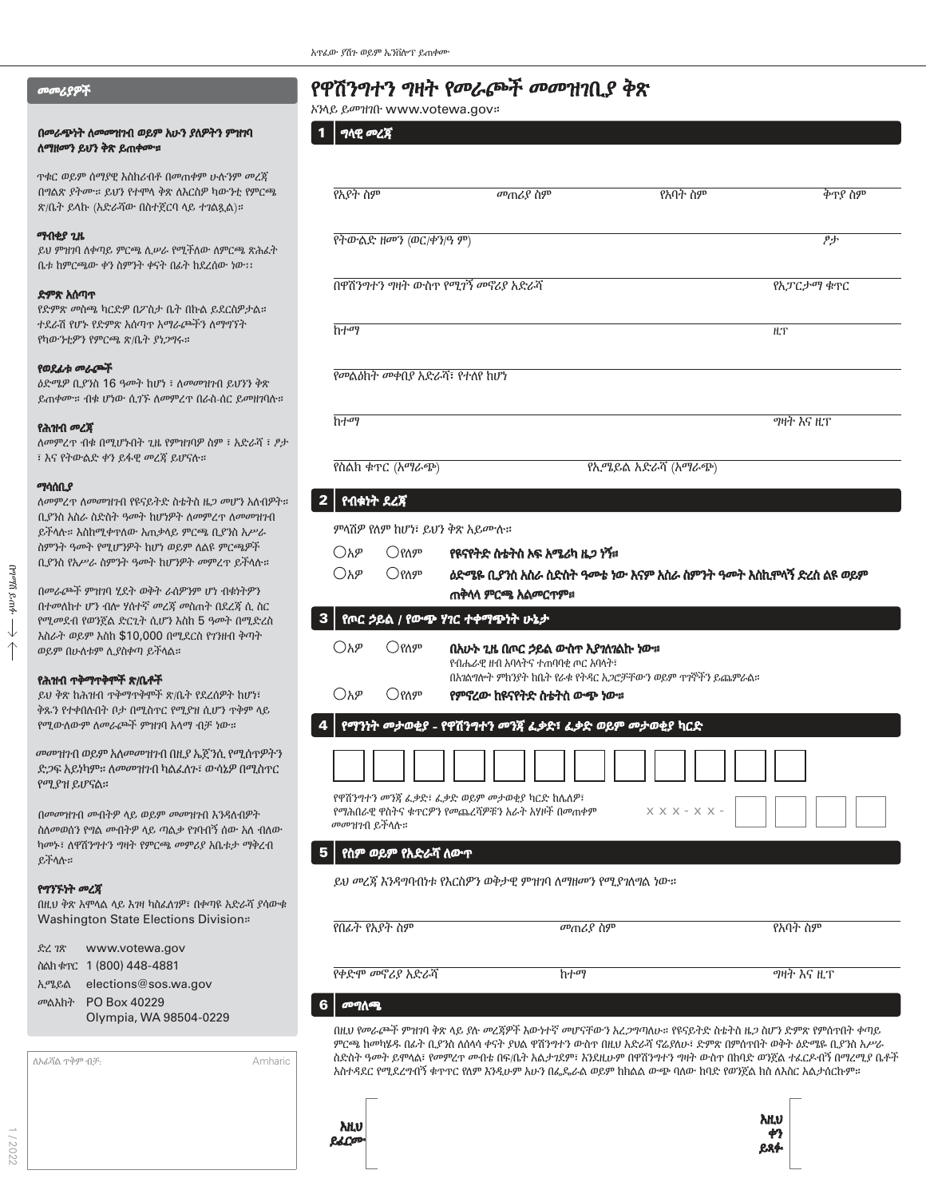### መመሪያዎች

### በመራጭነት ለመመዝንብ ወይም አሁን ያለዎትን ምዝንባ ለማዘመን ይህን ቅጽ ይጠቀሙ።

ጥቁር ወይም ሰማያዊ እስክሪብቶ በመጠቀም ሁሉንም መረጃ በግልጽ ያትሙ። ይህን የተሞላ ቅጽ ለእርስዎ ካውንቲ የምርጫ ጽ/ቤት ይላኩ (አድራሻው በስተጀርባ ላይ ተገልጿል)።

### ማብቂያ ጊዜ

ይህ ምዝገባ ለቀጣይ ምርጫ ሊሠራ የሚችለው ለምርጫ ጽሕፈት ቤቱ ከምርጫው ቀን ስምንት ቀናት በፊት ከደረሰው ነው፡፡

### ድምጽ አሰጣጥ

የድምጽ መስጫ ካርድዎ በፖስታ ቤት በኩል ይደርስዎታል። ተደራሽ የሆኑ የድምጽ አሰጣጥ አማራጮችን ለማግኘት የካውንቲዎን የምርጫ ጽ/ቤት ያነጋግሩ።

### የወደፊቱ መራጮች

ዕድሜዎ ቢያንስ 16 ዓመት ከሆነ ፣ ለመመዝገብ ይህንን ቅጽ ይጠቀሙ። ብቁ ሆነው ሲገኙ ለመምረጥ በራስ-ሰር ይመዘገባሉ።

### የሕዝብ መረጃ

ለመምረጥ ብቁ በሚሆኑበት ጊዜ የምዝገባዎ ስም ፣ አድራሻ ፣ ፆታ ፣ እና የትውልድ ቀን ይፋዊ መረጃ ይሆናሉ።

### ማሳሰቢያ

ለመምረጥ ለመመዝገብ የዩናይትድ ስቴትስ ዜጋ መሆን አለብዎት። ቢያንስ አስራ ስድስት ዓመት ከሆነዎት ለመምረጥ ለመመዝገብ ይችላሉ። እስከሚቀጥለው አጠቃላይ ምርጫ ቢያንስ አሥራ ስምንት ዓመት የሚሆንዎት ከሆነ ወይም ለልዩ ምርጫዎች ቢያንስ የአሥራ ስምንት ዓመት ከሆንዎት መምረጥ ይችላሉ።

በመራጮች ምዝገባ ሂደት ወቅት ራሰዎንም ሆነ ብቁነትዎን በተመለከተ ሆን ብሎ ሃሰተኛ መረጃ መስጠት በደረጃ ሲ ስር የሚመደብ የወንጀል ድርጊት ሲሆን እስከ 5 ዓመት በሚድረስ እስራት ወይም እስከ \$10,000 በሚደርስ የገንዘብ ቅጣት ወይም በሁለቱም ሊያስቀጣ ይችላል።

### የሕዝብ ጥቅማጥቅሞች ጽ/ቤቶች

ይህ ቅጽ ከሕዝብ ጥቅማጥቅሞች ጽ/ቤት የደረሰዎት ከሆነ፣ ቅጹን የተቀበሉበት ቦታ በሚስጥር የሚያዝ ሲሆን ጥቅም ላይ የሚውለውም ለመራጮች ምዝገባ አላማ ብቻ ነው።

መመዝገብ ወይም አለመመዝገብ በዚያ ኤጀንሲ የሚሰጥዎትን ድጋፍ አይነካም። ለመመዝገብ ካልፈለጉ፣ ውሳኔዎ በሚስጥር የሚያዝ ይሆናል።

በመመዝገብ መብትዎ ላይ ወይም መመዝገብ እንዳለብዎት ስለመወሰን የግል መብትዎ ላይ ጣልቃ የገባብኝ ሰው አለ ብለው ካመኑ፣ ለዋሽንግተን ግዛት የምርጫ መምሪያ አቤቱታ ማቅረብ ይችላሉ።

### የግንኙነት መረጃ

በዚህ ቅጽ አሞላል ላይ እገዛ ካስፈለገዎ፣ በቀጣዩ አድራሻ ያሳውቁ Washington State Elections Division።

| ድረ ገጽ | www.votewa.gov                |
|-------|-------------------------------|
|       | ስልክ ቁጥር 1 (800) 448-4881      |
|       | ኢሜይል elections@sos.wa.gov     |
|       | <sub>መልእክት</sub> PO Box 40229 |
|       | Olympia, WA 98504-0229        |

| ለአፊሻል ዋቅም ብቻ: | Amharic |
|---------------|---------|
|               |         |
|               |         |
|               |         |
|               |         |
|               |         |

# የዋሽንግተን ግዛት የመራጮች መመዝገቢያ ቅጽ

የመልዕክት መቀበያ አድራሻ፣ የተለየ ከሆነ

ኦንላይ ይመዝገቡ www.votewa.gov።

የአያት ስም በመጠሪያ ስም መጠሪያ ስም በላይ የአባት ስም በመጠራያ ስም ወገድ ቅጥያ ስም የትውልድ ዘመን (ወር/ቀን/ዓ ም) ቀን

ከተማ <u>ዚ</u>ፕ

የስልክ ቁጥር (አማራጭ) የኢሜይል አድራሻ (አማራጭ)

በዋሽንግተን ግዛት ውስጥ የሚገኝ መኖሪያ አድራሻ ለአገራችን የአመልክ የአመልክ የአፓርታማ ቁጥር

ከተማ ግዛት እና ዚፕ

 $1 \mid n$ ላዊ መረጃ

1 / 2022

ምላሽዎ የለም ከሆነ፣ ይህን ቅጽ አይሙሉ።  $\bigcirc$ አዎ  $\bigcirc$ የለም የዩናየትድ ስቴትስ እፍ አሜሪካ ዜ*ጋ ነ*ኝ።  $\bigcirc$ አዎ  $\hspace{.1cm}$   $\bigcirc$ የለም  $\hspace{.1cm}$  ዕድሜዬ ቢያንስ አስራ ስድስት ዓመቴ ነው እናም አስራ ስምንት ዓመት እስኪሞላኝ ድረስ ልዩ ወይም ጠቅላላ ምርጫ አልመርጥም።  $2 \mid$  የብቁነት ደረጃ  $\bigcirc$ አዎ  $\bigcirc$ የለም በአሁኑ ጊዜ በጦር ኃይል ውስጥ እያገለገልኩ ነው። የብሔራዊ ዘብ አባላትና ተጠባባቂ ጦር አባላት፣ በአገልግሎት ምክንያት ከቤት የራቁ የትዳር አጋሮቻቸውን ወይም ጥገኞችን ይጨምራል።  $\bigcirc$ አዎ  $\bigcirc$ የለም የምኖረው ከዩናየትድ ስቴትስ ውጭ ነው። 3 የጦር ኃይል / የውጭ ሃገር ተቀማጭነት ሁኔታ  $X$   $X$   $X$  -  $X$   $X$  -4 | የማንነት መታወቂያ - የዋሽንግተን መንጃ ፈቃድ፣ ፈቃድ ወይም መታወቂያ ካርድ የዋሽንግተን መንጃ ፈቃድ፣ ፈቃድ ወይም መታወቂያ ካርድ ከሌለዎ፣

የማሕበራዊ ዋስትና ቁጥርዎን የመጨረሻዎቹን አራት አሃዞች በመጠቀም መመዝገብ ይችላሉ።

### 5 የስም ወይም የአድራሻ ለውጥ

ይህ መረጃ እንዳግባብነቱ የእርስዎን ወቅታዊ ምዝገባ ለማዘመን የሚያገለግል ነው።

| ം കോക          |                 |                   |
|----------------|-----------------|-------------------|
| የቀድሞ መኖሪያ አድራሻ | ከተማ             | <i>ግ</i> ዛት እና ዚፕ |
|                |                 |                   |
| የበፊት የአያት ስም   | <i>መ</i> ጠሪያ ስም | የአባት ስም           |
|                |                 |                   |

### 6 መግለጫ

በዚህ የመራጮች ምዝገባ ቅጽ ላይ ያሉ መረጃዎች እውነተኛ መሆናቸውን አረጋግጣለሁ። የዩናይትድ ስቴትስ ዜጋ ስሆን ድምጽ የምሰጥበት ቀጣይ ምርጫ ከመካሄዱ በፊት ቢያንስ ለሰላሳ ቀናት ያህል ዋሽንግተን ውስጥ በዚህ አድራሻ ኖሬያለሁ፣ ድምጽ በምሰጥበት ወቅት ዕድሜዬ ቢያንስ አሥራ ስድስት ዓመት ይሞላል፣ የመምረጥ መብቴ በፍ/ቤት አልታገደም፣ እንደዚሁም በዋሽንግተን ግዛት ውስጥ በከባድ ወንጀል ተፈርዶብኝ በማረሚያ ቤቶች አስተዳደር የሚደረግብኝ ቁጥጥር የለም እንዲሁም አሁን በፌዴራል ወይም ከክልል ውጭ ባለው ከባድ የወንጀል ክስ ለእስር አልታሰርኩም።

> እዚህ ቀን ይጻፉ